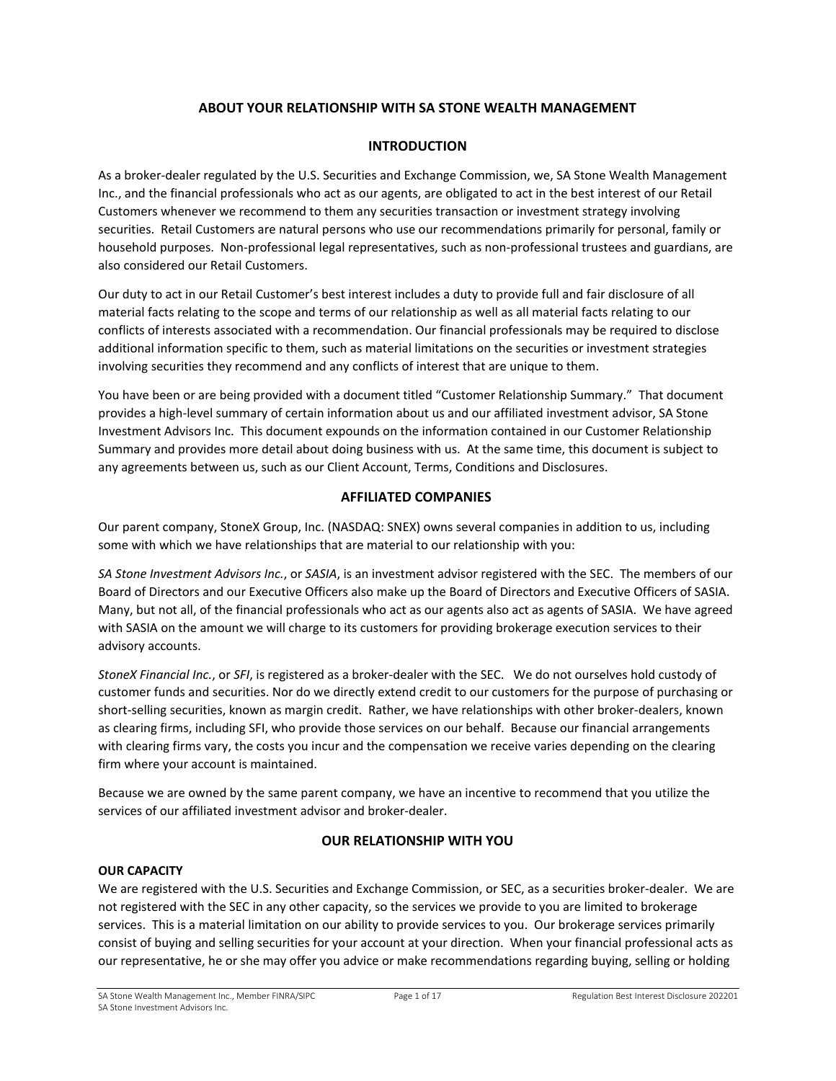# **ABOUT YOUR RELATIONSHIP WITH SA STONE WEALTH MANAGEMENT**

# **INTRODUCTION**

As a broker-dealer regulated by the U.S. Securities and Exchange Commission, we, SA Stone Wealth Management Inc., and the financial professionals who act as our agents, are obligated to act in the best interest of our Retail Customers whenever we recommend to them any securities transaction or investment strategy involving securities. Retail Customers are natural persons who use our recommendations primarily for personal, family or household purposes. Non-professional legal representatives, such as non-professional trustees and guardians, are also considered our Retail Customers.

Our duty to act in our Retail Customer's best interest includes a duty to provide full and fair disclosure of all material facts relating to the scope and terms of our relationship as well as all material facts relating to our conflicts of interests associated with a recommendation. Our financial professionals may be required to disclose additional information specific to them, such as material limitations on the securities or investment strategies involving securities they recommend and any conflicts of interest that are unique to them.

You have been or are being provided with a document titled "Customer Relationship Summary." That document provides a high-level summary of certain information about us and our affiliated investment advisor, SA Stone Investment Advisors Inc. This document expounds on the information contained in our Customer Relationship Summary and provides more detail about doing business with us. At the same time, this document is subject to any agreements between us, such as our Client Account, Terms, Conditions and Disclosures.

# **AFFILIATED COMPANIES**

Our parent company, StoneX Group, Inc. (NASDAQ: SNEX) owns several companies in addition to us, including some with which we have relationships that are material to our relationship with you:

*SA Stone Investment Advisors Inc.*, or *SASIA*, is an investment advisor registered with the SEC. The members of our Board of Directors and our Executive Officers also make up the Board of Directors and Executive Officers of SASIA. Many, but not all, of the financial professionals who act as our agents also act as agents of SASIA. We have agreed with SASIA on the amount we will charge to its customers for providing brokerage execution services to their advisory accounts.

*StoneX Financial Inc.*, or *SFI*, is registered as a broker-dealer with the SEC. We do not ourselves hold custody of customer funds and securities. Nor do we directly extend credit to our customers for the purpose of purchasing or short-selling securities, known as margin credit. Rather, we have relationships with other broker-dealers, known as clearing firms, including SFI, who provide those services on our behalf. Because our financial arrangements with clearing firms vary, the costs you incur and the compensation we receive varies depending on the clearing firm where your account is maintained.

Because we are owned by the same parent company, we have an incentive to recommend that you utilize the services of our affiliated investment advisor and broker-dealer.

# **OUR RELATIONSHIP WITH YOU**

# **OUR CAPACITY**

We are registered with the U.S. Securities and Exchange Commission, or SEC, as a securities broker-dealer. We are not registered with the SEC in any other capacity, so the services we provide to you are limited to brokerage services. This is a material limitation on our ability to provide services to you. Our brokerage services primarily consist of buying and selling securities for your account at your direction. When your financial professional acts as our representative, he or she may offer you advice or make recommendations regarding buying, selling or holding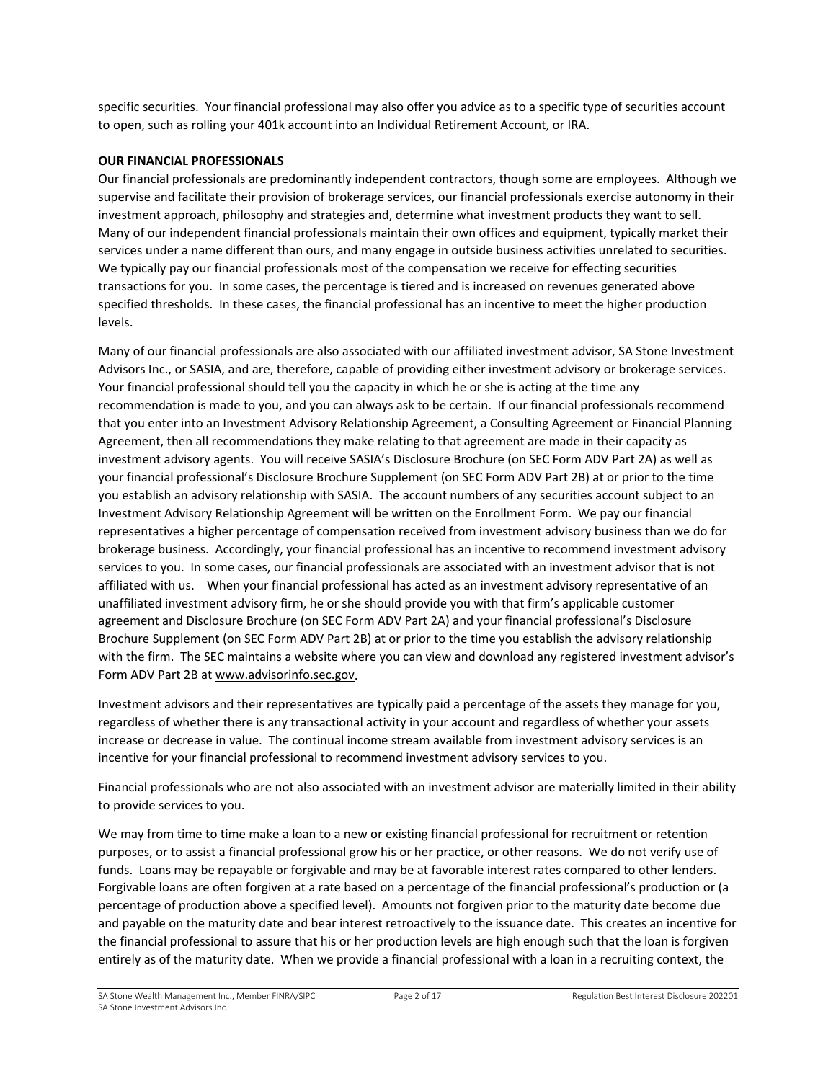specific securities. Your financial professional may also offer you advice as to a specific type of securities account to open, such as rolling your 401k account into an Individual Retirement Account, or IRA.

### **OUR FINANCIAL PROFESSIONALS**

Our financial professionals are predominantly independent contractors, though some are employees. Although we supervise and facilitate their provision of brokerage services, our financial professionals exercise autonomy in their investment approach, philosophy and strategies and, determine what investment products they want to sell. Many of our independent financial professionals maintain their own offices and equipment, typically market their services under a name different than ours, and many engage in outside business activities unrelated to securities. We typically pay our financial professionals most of the compensation we receive for effecting securities transactions for you. In some cases, the percentage is tiered and is increased on revenues generated above specified thresholds. In these cases, the financial professional has an incentive to meet the higher production levels.

Many of our financial professionals are also associated with our affiliated investment advisor, SA Stone Investment Advisors Inc., or SASIA, and are, therefore, capable of providing either investment advisory or brokerage services. Your financial professional should tell you the capacity in which he or she is acting at the time any recommendation is made to you, and you can always ask to be certain. If our financial professionals recommend that you enter into an Investment Advisory Relationship Agreement, a Consulting Agreement or Financial Planning Agreement, then all recommendations they make relating to that agreement are made in their capacity as investment advisory agents. You will receive SASIA's Disclosure Brochure (on SEC Form ADV Part 2A) as well as your financial professional's Disclosure Brochure Supplement (on SEC Form ADV Part 2B) at or prior to the time you establish an advisory relationship with SASIA. The account numbers of any securities account subject to an Investment Advisory Relationship Agreement will be written on the Enrollment Form. We pay our financial representatives a higher percentage of compensation received from investment advisory business than we do for brokerage business. Accordingly, your financial professional has an incentive to recommend investment advisory services to you. In some cases, our financial professionals are associated with an investment advisor that is not affiliated with us. When your financial professional has acted as an investment advisory representative of an unaffiliated investment advisory firm, he or she should provide you with that firm's applicable customer agreement and Disclosure Brochure (on SEC Form ADV Part 2A) and your financial professional's Disclosure Brochure Supplement (on SEC Form ADV Part 2B) at or prior to the time you establish the advisory relationship with the firm. The SEC maintains a website where you can view and download any registered investment advisor's Form ADV Part 2B a[t www.advisorinfo.sec.gov.](http://www.advisorinfo.sec.gov/)

Investment advisors and their representatives are typically paid a percentage of the assets they manage for you, regardless of whether there is any transactional activity in your account and regardless of whether your assets increase or decrease in value. The continual income stream available from investment advisory services is an incentive for your financial professional to recommend investment advisory services to you.

Financial professionals who are not also associated with an investment advisor are materially limited in their ability to provide services to you.

We may from time to time make a loan to a new or existing financial professional for recruitment or retention purposes, or to assist a financial professional grow his or her practice, or other reasons. We do not verify use of funds. Loans may be repayable or forgivable and may be at favorable interest rates compared to other lenders. Forgivable loans are often forgiven at a rate based on a percentage of the financial professional's production or (a percentage of production above a specified level). Amounts not forgiven prior to the maturity date become due and payable on the maturity date and bear interest retroactively to the issuance date. This creates an incentive for the financial professional to assure that his or her production levels are high enough such that the loan is forgiven entirely as of the maturity date. When we provide a financial professional with a loan in a recruiting context, the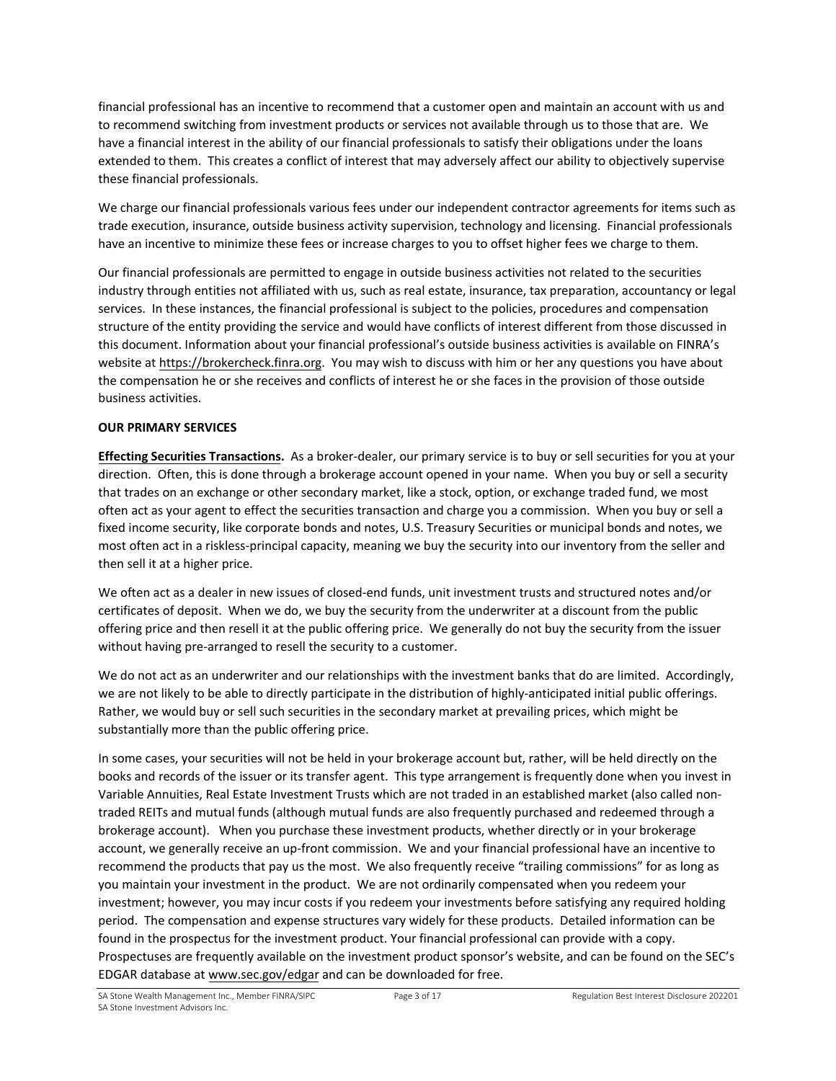financial professional has an incentive to recommend that a customer open and maintain an account with us and to recommend switching from investment products or services not available through us to those that are. We have a financial interest in the ability of our financial professionals to satisfy their obligations under the loans extended to them. This creates a conflict of interest that may adversely affect our ability to objectively supervise these financial professionals.

We charge our financial professionals various fees under our independent contractor agreements for items such as trade execution, insurance, outside business activity supervision, technology and licensing. Financial professionals have an incentive to minimize these fees or increase charges to you to offset higher fees we charge to them.

Our financial professionals are permitted to engage in outside business activities not related to the securities industry through entities not affiliated with us, such as real estate, insurance, tax preparation, accountancy or legal services. In these instances, the financial professional is subject to the policies, procedures and compensation structure of the entity providing the service and would have conflicts of interest different from those discussed in this document. Information about your financial professional's outside business activities is available on FINRA's website at [https://brokercheck.finra.org.](https://brokercheck.finra.org/) You may wish to discuss with him or her any questions you have about the compensation he or she receives and conflicts of interest he or she faces in the provision of those outside business activities.

# **OUR PRIMARY SERVICES**

**Effecting Securities Transactions.** As a broker-dealer, our primary service is to buy or sell securities for you at your direction. Often, this is done through a brokerage account opened in your name. When you buy or sell a security that trades on an exchange or other secondary market, like a stock, option, or exchange traded fund, we most often act as your agent to effect the securities transaction and charge you a commission. When you buy or sell a fixed income security, like corporate bonds and notes, U.S. Treasury Securities or municipal bonds and notes, we most often act in a riskless-principal capacity, meaning we buy the security into our inventory from the seller and then sell it at a higher price.

We often act as a dealer in new issues of closed-end funds, unit investment trusts and structured notes and/or certificates of deposit. When we do, we buy the security from the underwriter at a discount from the public offering price and then resell it at the public offering price. We generally do not buy the security from the issuer without having pre-arranged to resell the security to a customer.

We do not act as an underwriter and our relationships with the investment banks that do are limited. Accordingly, we are not likely to be able to directly participate in the distribution of highly-anticipated initial public offerings. Rather, we would buy or sell such securities in the secondary market at prevailing prices, which might be substantially more than the public offering price.

In some cases, your securities will not be held in your brokerage account but, rather, will be held directly on the books and records of the issuer or its transfer agent. This type arrangement is frequently done when you invest in Variable Annuities, Real Estate Investment Trusts which are not traded in an established market (also called nontraded REITs and mutual funds (although mutual funds are also frequently purchased and redeemed through a brokerage account). When you purchase these investment products, whether directly or in your brokerage account, we generally receive an up-front commission. We and your financial professional have an incentive to recommend the products that pay us the most. We also frequently receive "trailing commissions" for as long as you maintain your investment in the product. We are not ordinarily compensated when you redeem your investment; however, you may incur costs if you redeem your investments before satisfying any required holding period. The compensation and expense structures vary widely for these products. Detailed information can be found in the prospectus for the investment product. Your financial professional can provide with a copy. Prospectuses are frequently available on the investment product sponsor's website, and can be found on the SEC's EDGAR database a[t www.sec.gov/edgar](http://www.sec.gov/edgar) and can be downloaded for free.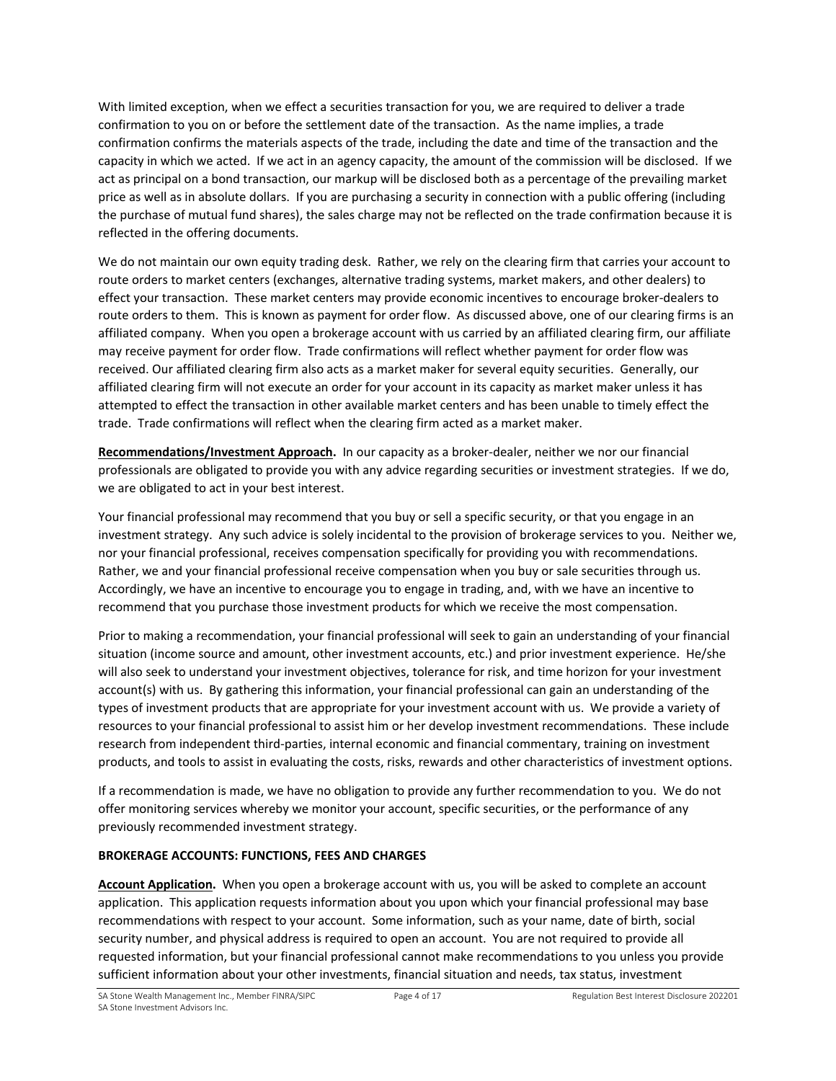With limited exception, when we effect a securities transaction for you, we are required to deliver a trade confirmation to you on or before the settlement date of the transaction. As the name implies, a trade confirmation confirms the materials aspects of the trade, including the date and time of the transaction and the capacity in which we acted. If we act in an agency capacity, the amount of the commission will be disclosed. If we act as principal on a bond transaction, our markup will be disclosed both as a percentage of the prevailing market price as well as in absolute dollars. If you are purchasing a security in connection with a public offering (including the purchase of mutual fund shares), the sales charge may not be reflected on the trade confirmation because it is reflected in the offering documents.

We do not maintain our own equity trading desk. Rather, we rely on the clearing firm that carries your account to route orders to market centers (exchanges, alternative trading systems, market makers, and other dealers) to effect your transaction. These market centers may provide economic incentives to encourage broker-dealers to route orders to them. This is known as payment for order flow. As discussed above, one of our clearing firms is an affiliated company. When you open a brokerage account with us carried by an affiliated clearing firm, our affiliate may receive payment for order flow. Trade confirmations will reflect whether payment for order flow was received. Our affiliated clearing firm also acts as a market maker for several equity securities. Generally, our affiliated clearing firm will not execute an order for your account in its capacity as market maker unless it has attempted to effect the transaction in other available market centers and has been unable to timely effect the trade. Trade confirmations will reflect when the clearing firm acted as a market maker.

**Recommendations/Investment Approach.** In our capacity as a broker-dealer, neither we nor our financial professionals are obligated to provide you with any advice regarding securities or investment strategies. If we do, we are obligated to act in your best interest.

Your financial professional may recommend that you buy or sell a specific security, or that you engage in an investment strategy. Any such advice is solely incidental to the provision of brokerage services to you. Neither we, nor your financial professional, receives compensation specifically for providing you with recommendations. Rather, we and your financial professional receive compensation when you buy or sale securities through us. Accordingly, we have an incentive to encourage you to engage in trading, and, with we have an incentive to recommend that you purchase those investment products for which we receive the most compensation.

Prior to making a recommendation, your financial professional will seek to gain an understanding of your financial situation (income source and amount, other investment accounts, etc.) and prior investment experience. He/she will also seek to understand your investment objectives, tolerance for risk, and time horizon for your investment account(s) with us. By gathering this information, your financial professional can gain an understanding of the types of investment products that are appropriate for your investment account with us. We provide a variety of resources to your financial professional to assist him or her develop investment recommendations. These include research from independent third-parties, internal economic and financial commentary, training on investment products, and tools to assist in evaluating the costs, risks, rewards and other characteristics of investment options.

If a recommendation is made, we have no obligation to provide any further recommendation to you. We do not offer monitoring services whereby we monitor your account, specific securities, or the performance of any previously recommended investment strategy.

# **BROKERAGE ACCOUNTS: FUNCTIONS, FEES AND CHARGES**

**Account Application.** When you open a brokerage account with us, you will be asked to complete an account application. This application requests information about you upon which your financial professional may base recommendations with respect to your account. Some information, such as your name, date of birth, social security number, and physical address is required to open an account. You are not required to provide all requested information, but your financial professional cannot make recommendations to you unless you provide sufficient information about your other investments, financial situation and needs, tax status, investment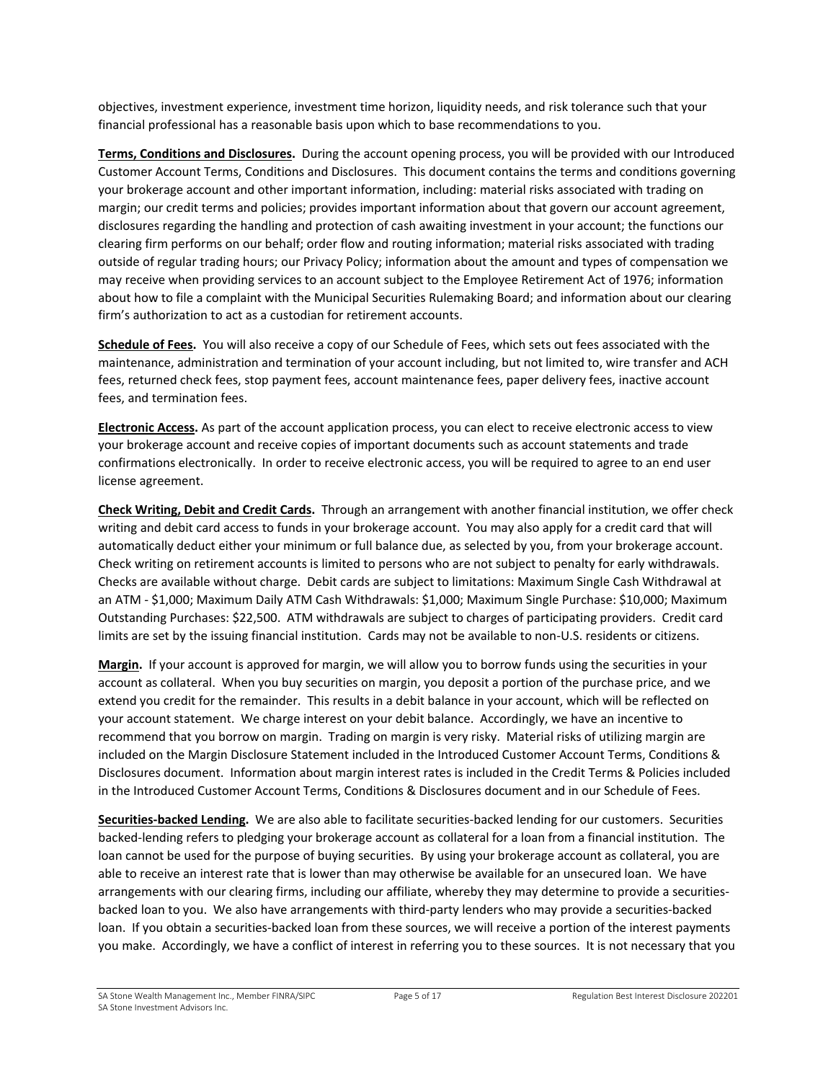objectives, investment experience, investment time horizon, liquidity needs, and risk tolerance such that your financial professional has a reasonable basis upon which to base recommendations to you.

**Terms, Conditions and Disclosures.** During the account opening process, you will be provided with our Introduced Customer Account Terms, Conditions and Disclosures. This document contains the terms and conditions governing your brokerage account and other important information, including: material risks associated with trading on margin; our credit terms and policies; provides important information about that govern our account agreement, disclosures regarding the handling and protection of cash awaiting investment in your account; the functions our clearing firm performs on our behalf; order flow and routing information; material risks associated with trading outside of regular trading hours; our Privacy Policy; information about the amount and types of compensation we may receive when providing services to an account subject to the Employee Retirement Act of 1976; information about how to file a complaint with the Municipal Securities Rulemaking Board; and information about our clearing firm's authorization to act as a custodian for retirement accounts.

**Schedule of Fees.** You will also receive a copy of our Schedule of Fees, which sets out fees associated with the maintenance, administration and termination of your account including, but not limited to, wire transfer and ACH fees, returned check fees, stop payment fees, account maintenance fees, paper delivery fees, inactive account fees, and termination fees.

**Electronic Access.** As part of the account application process, you can elect to receive electronic access to view your brokerage account and receive copies of important documents such as account statements and trade confirmations electronically. In order to receive electronic access, you will be required to agree to an end user license agreement.

**Check Writing, Debit and Credit Cards.** Through an arrangement with another financial institution, we offer check writing and debit card access to funds in your brokerage account. You may also apply for a credit card that will automatically deduct either your minimum or full balance due, as selected by you, from your brokerage account. Check writing on retirement accounts is limited to persons who are not subject to penalty for early withdrawals. Checks are available without charge. Debit cards are subject to limitations: Maximum Single Cash Withdrawal at an ATM - \$1,000; Maximum Daily ATM Cash Withdrawals: \$1,000; Maximum Single Purchase: \$10,000; Maximum Outstanding Purchases: \$22,500. ATM withdrawals are subject to charges of participating providers. Credit card limits are set by the issuing financial institution. Cards may not be available to non-U.S. residents or citizens.

**Margin.** If your account is approved for margin, we will allow you to borrow funds using the securities in your account as collateral. When you buy securities on margin, you deposit a portion of the purchase price, and we extend you credit for the remainder. This results in a debit balance in your account, which will be reflected on your account statement. We charge interest on your debit balance. Accordingly, we have an incentive to recommend that you borrow on margin. Trading on margin is very risky. Material risks of utilizing margin are included on the Margin Disclosure Statement included in the Introduced Customer Account Terms, Conditions & Disclosures document. Information about margin interest rates is included in the Credit Terms & Policies included in the Introduced Customer Account Terms, Conditions & Disclosures document and in our Schedule of Fees.

**Securities-backed Lending.** We are also able to facilitate securities-backed lending for our customers. Securities backed-lending refers to pledging your brokerage account as collateral for a loan from a financial institution. The loan cannot be used for the purpose of buying securities. By using your brokerage account as collateral, you are able to receive an interest rate that is lower than may otherwise be available for an unsecured loan. We have arrangements with our clearing firms, including our affiliate, whereby they may determine to provide a securitiesbacked loan to you. We also have arrangements with third-party lenders who may provide a securities-backed loan. If you obtain a securities-backed loan from these sources, we will receive a portion of the interest payments you make. Accordingly, we have a conflict of interest in referring you to these sources. It is not necessary that you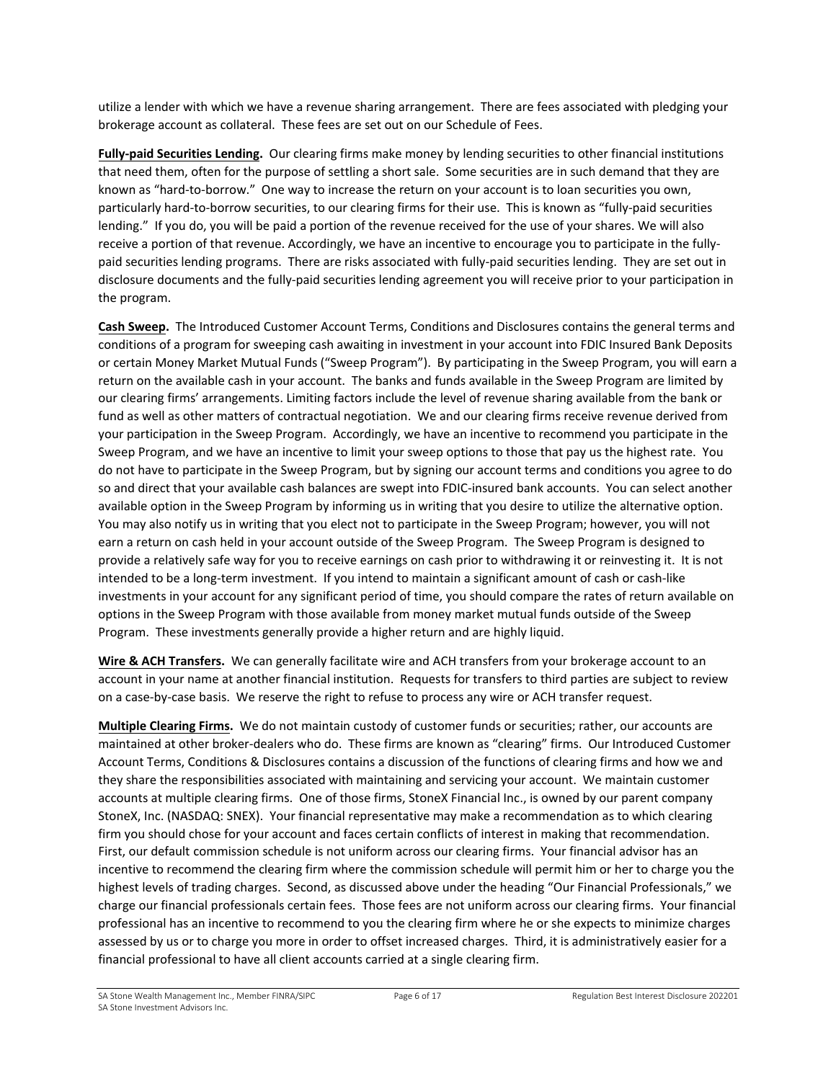utilize a lender with which we have a revenue sharing arrangement. There are fees associated with pledging your brokerage account as collateral. These fees are set out on our Schedule of Fees.

**Fully-paid Securities Lending.** Our clearing firms make money by lending securities to other financial institutions that need them, often for the purpose of settling a short sale. Some securities are in such demand that they are known as "hard-to-borrow." One way to increase the return on your account is to loan securities you own, particularly hard-to-borrow securities, to our clearing firms for their use. This is known as "fully-paid securities lending." If you do, you will be paid a portion of the revenue received for the use of your shares. We will also receive a portion of that revenue. Accordingly, we have an incentive to encourage you to participate in the fullypaid securities lending programs. There are risks associated with fully-paid securities lending. They are set out in disclosure documents and the fully-paid securities lending agreement you will receive prior to your participation in the program.

**Cash Sweep.** The Introduced Customer Account Terms, Conditions and Disclosures contains the general terms and conditions of a program for sweeping cash awaiting in investment in your account into FDIC Insured Bank Deposits or certain Money Market Mutual Funds ("Sweep Program"). By participating in the Sweep Program, you will earn a return on the available cash in your account. The banks and funds available in the Sweep Program are limited by our clearing firms' arrangements. Limiting factors include the level of revenue sharing available from the bank or fund as well as other matters of contractual negotiation. We and our clearing firms receive revenue derived from your participation in the Sweep Program. Accordingly, we have an incentive to recommend you participate in the Sweep Program, and we have an incentive to limit your sweep options to those that pay us the highest rate. You do not have to participate in the Sweep Program, but by signing our account terms and conditions you agree to do so and direct that your available cash balances are swept into FDIC-insured bank accounts. You can select another available option in the Sweep Program by informing us in writing that you desire to utilize the alternative option. You may also notify us in writing that you elect not to participate in the Sweep Program; however, you will not earn a return on cash held in your account outside of the Sweep Program. The Sweep Program is designed to provide a relatively safe way for you to receive earnings on cash prior to withdrawing it or reinvesting it. It is not intended to be a long-term investment. If you intend to maintain a significant amount of cash or cash-like investments in your account for any significant period of time, you should compare the rates of return available on options in the Sweep Program with those available from money market mutual funds outside of the Sweep Program. These investments generally provide a higher return and are highly liquid.

**Wire & ACH Transfers.** We can generally facilitate wire and ACH transfers from your brokerage account to an account in your name at another financial institution. Requests for transfers to third parties are subject to review on a case-by-case basis. We reserve the right to refuse to process any wire or ACH transfer request.

**Multiple Clearing Firms.** We do not maintain custody of customer funds or securities; rather, our accounts are maintained at other broker-dealers who do. These firms are known as "clearing" firms. Our Introduced Customer Account Terms, Conditions & Disclosures contains a discussion of the functions of clearing firms and how we and they share the responsibilities associated with maintaining and servicing your account. We maintain customer accounts at multiple clearing firms. One of those firms, StoneX Financial Inc., is owned by our parent company StoneX, Inc. (NASDAQ: SNEX). Your financial representative may make a recommendation as to which clearing firm you should chose for your account and faces certain conflicts of interest in making that recommendation. First, our default commission schedule is not uniform across our clearing firms. Your financial advisor has an incentive to recommend the clearing firm where the commission schedule will permit him or her to charge you the highest levels of trading charges. Second, as discussed above under the heading "Our Financial Professionals," we charge our financial professionals certain fees. Those fees are not uniform across our clearing firms. Your financial professional has an incentive to recommend to you the clearing firm where he or she expects to minimize charges assessed by us or to charge you more in order to offset increased charges. Third, it is administratively easier for a financial professional to have all client accounts carried at a single clearing firm.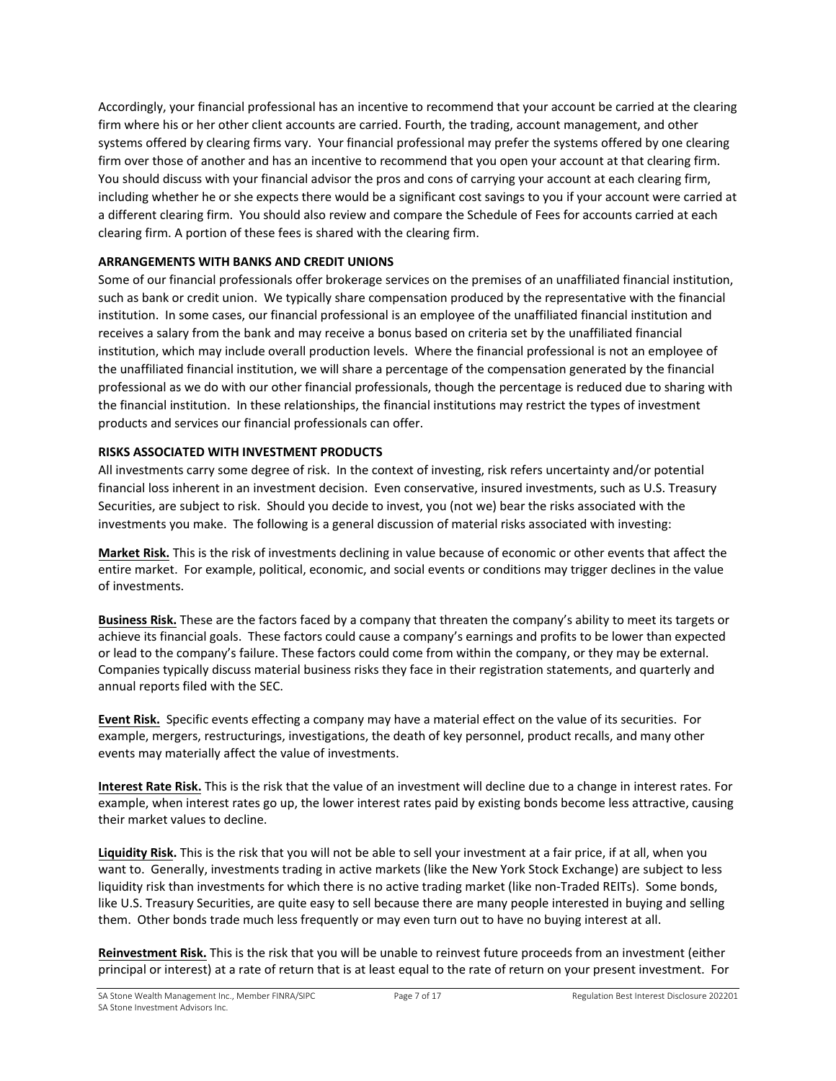Accordingly, your financial professional has an incentive to recommend that your account be carried at the clearing firm where his or her other client accounts are carried. Fourth, the trading, account management, and other systems offered by clearing firms vary. Your financial professional may prefer the systems offered by one clearing firm over those of another and has an incentive to recommend that you open your account at that clearing firm. You should discuss with your financial advisor the pros and cons of carrying your account at each clearing firm, including whether he or she expects there would be a significant cost savings to you if your account were carried at a different clearing firm. You should also review and compare the Schedule of Fees for accounts carried at each clearing firm. A portion of these fees is shared with the clearing firm.

### **ARRANGEMENTS WITH BANKS AND CREDIT UNIONS**

Some of our financial professionals offer brokerage services on the premises of an unaffiliated financial institution, such as bank or credit union. We typically share compensation produced by the representative with the financial institution. In some cases, our financial professional is an employee of the unaffiliated financial institution and receives a salary from the bank and may receive a bonus based on criteria set by the unaffiliated financial institution, which may include overall production levels. Where the financial professional is not an employee of the unaffiliated financial institution, we will share a percentage of the compensation generated by the financial professional as we do with our other financial professionals, though the percentage is reduced due to sharing with the financial institution. In these relationships, the financial institutions may restrict the types of investment products and services our financial professionals can offer.

### **RISKS ASSOCIATED WITH INVESTMENT PRODUCTS**

All investments carry some degree of risk. In the context of investing, risk refers uncertainty and/or potential financial loss inherent in an investment decision. Even conservative, insured investments, such as U.S. Treasury Securities, are subject to risk. Should you decide to invest, you (not we) bear the risks associated with the investments you make. The following is a general discussion of material risks associated with investing:

**Market Risk.** This is the risk of investments declining in value because of economic or other events that affect the entire market. For example, political, economic, and social events or conditions may trigger declines in the value of investments.

**Business Risk.** These are the factors faced by a company that threaten the company's ability to meet its targets or achieve its financial goals. These factors could cause a company's earnings and profits to be lower than expected or lead to the company's failure. These factors could come from within the company, or they may be external. Companies typically discuss material business risks they face in their registration statements, and quarterly and annual reports filed with the SEC.

**Event Risk.** Specific events effecting a company may have a material effect on the value of its securities. For example, mergers, restructurings, investigations, the death of key personnel, product recalls, and many other events may materially affect the value of investments.

**Interest Rate Risk.** This is the risk that the value of an investment will decline due to a change in interest rates. For example, when interest rates go up, the lower interest rates paid by existing bonds become less attractive, causing their market values to decline.

**Liquidity Risk.** This is the risk that you will not be able to sell your investment at a fair price, if at all, when you want to. Generally, investments trading in active markets (like the New York Stock Exchange) are subject to less liquidity risk than investments for which there is no active trading market (like non-Traded REITs). Some bonds, like U.S. Treasury Securities, are quite easy to sell because there are many people interested in buying and selling them. Other bonds trade much less frequently or may even turn out to have no buying interest at all.

**Reinvestment Risk.** This is the risk that you will be unable to reinvest future proceeds from an investment (either principal or interest) at a rate of return that is at least equal to the rate of return on your present investment. For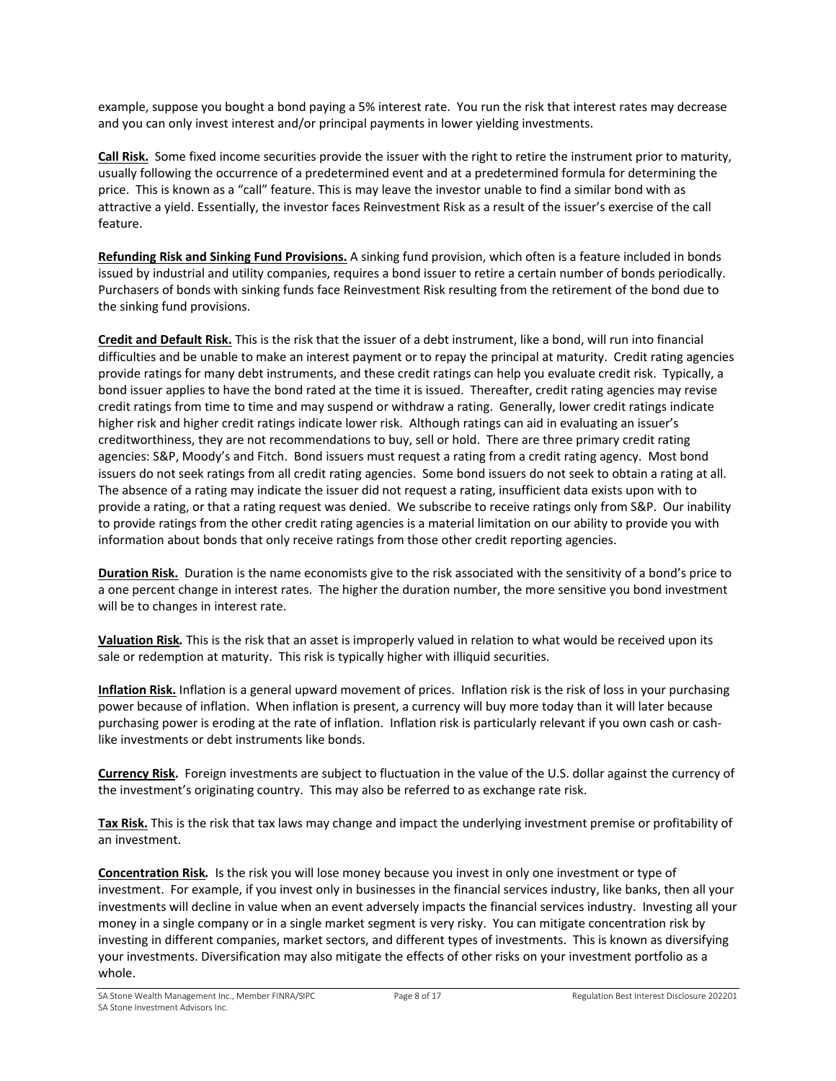example, suppose you bought a bond paying a 5% interest rate. You run the risk that interest rates may decrease and you can only invest interest and/or principal payments in lower yielding investments.

**Call Risk.** Some fixed income securities provide the issuer with the right to retire the instrument prior to maturity, usually following the occurrence of a predetermined event and at a predetermined formula for determining the price. This is known as a "call" feature. This is may leave the investor unable to find a similar bond with as attractive a yield. Essentially, the investor faces Reinvestment Risk as a result of the issuer's exercise of the call feature.

**Refunding Risk and Sinking Fund Provisions.** A sinking fund provision, which often is a feature included in bonds issued by industrial and utility companies, requires a bond issuer to retire a certain number of bonds periodically. Purchasers of bonds with sinking funds face Reinvestment Risk resulting from the retirement of the bond due to the sinking fund provisions.

**Credit and Default Risk.** This is the risk that the issuer of a debt instrument, like a bond, will run into financial difficulties and be unable to make an interest payment or to repay the principal at maturity. Credit rating agencies provide ratings for many debt instruments, and these credit ratings can help you evaluate credit risk. Typically, a bond issuer applies to have the bond rated at the time it is issued. Thereafter, credit rating agencies may revise credit ratings from time to time and may suspend or withdraw a rating. Generally, lower credit ratings indicate higher risk and higher credit ratings indicate lower risk. Although ratings can aid in evaluating an issuer's creditworthiness, they are not recommendations to buy, sell or hold. There are three primary credit rating agencies: S&P, Moody's and Fitch. Bond issuers must request a rating from a credit rating agency. Most bond issuers do not seek ratings from all credit rating agencies. Some bond issuers do not seek to obtain a rating at all. The absence of a rating may indicate the issuer did not request a rating, insufficient data exists upon with to provide a rating, or that a rating request was denied. We subscribe to receive ratings only from S&P. Our inability to provide ratings from the other credit rating agencies is a material limitation on our ability to provide you with information about bonds that only receive ratings from those other credit reporting agencies.

**Duration Risk.** Duration is the name economists give to the risk associated with the sensitivity of a bond's price to a one percent change in interest rates. The higher the duration number, the more sensitive you bond investment will be to changes in interest rate.

**Valuation Risk***.* This is the risk that an asset is improperly valued in relation to what would be received upon its sale or redemption at maturity. This risk is typically higher with illiquid securities.

**Inflation Risk.** Inflation is a general upward movement of prices. Inflation risk is the risk of loss in your purchasing power because of inflation. When inflation is present, a currency will buy more today than it will later because purchasing power is eroding at the rate of inflation. Inflation risk is particularly relevant if you own cash or cashlike investments or debt instruments like bonds.

**Currency Risk.** Foreign investments are subject to fluctuation in the value of the U.S. dollar against the currency of the investment's originating country. This may also be referred to as exchange rate risk.

**Tax Risk.** This is the risk that tax laws may change and impact the underlying investment premise or profitability of an investment.

**Concentration Risk***.*Is the risk you will lose money because you invest in only one investment or type of investment. For example, if you invest only in businesses in the financial services industry, like banks, then all your investments will decline in value when an event adversely impacts the financial services industry. Investing all your money in a single company or in a single market segment is very risky. You can mitigate concentration risk by investing in different companies, market sectors, and different types of investments. This is known as diversifying your investments. Diversification may also mitigate the effects of other risks on your investment portfolio as a whole.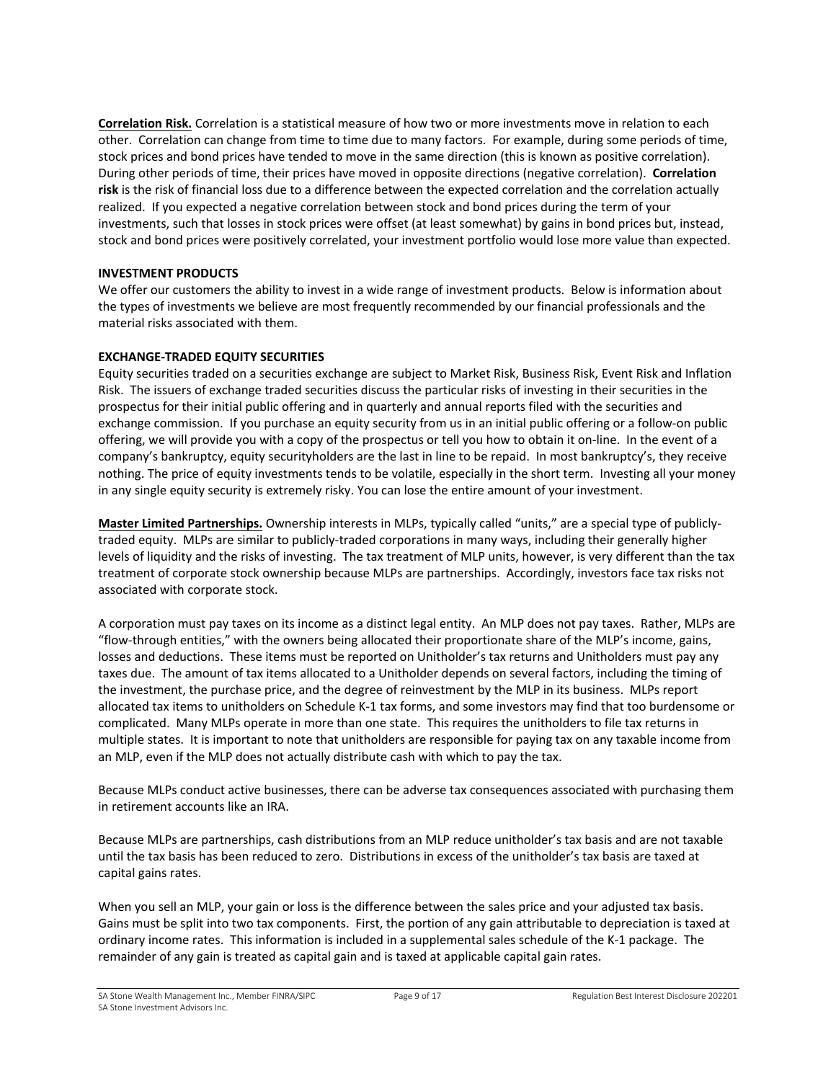**Correlation Risk.** Correlation is a statistical measure of how two or more investments move in relation to each other. Correlation can change from time to time due to many factors. For example, during some periods of time, stock prices and bond prices have tended to move in the same direction (this is known as positive correlation). During other periods of time, their prices have moved in opposite directions (negative correlation). **Correlation risk** is the risk of financial loss due to a difference between the expected correlation and the correlation actually realized. If you expected a negative correlation between stock and bond prices during the term of your investments, such that losses in stock prices were offset (at least somewhat) by gains in bond prices but, instead, stock and bond prices were positively correlated, your investment portfolio would lose more value than expected.

### **INVESTMENT PRODUCTS**

We offer our customers the ability to invest in a wide range of investment products. Below is information about the types of investments we believe are most frequently recommended by our financial professionals and the material risks associated with them.

### **EXCHANGE-TRADED EQUITY SECURITIES**

Equity securities traded on a securities exchange are subject to Market Risk, Business Risk, Event Risk and Inflation Risk. The issuers of exchange traded securities discuss the particular risks of investing in their securities in the prospectus for their initial public offering and in quarterly and annual reports filed with the securities and exchange commission. If you purchase an equity security from us in an initial public offering or a follow-on public offering, we will provide you with a copy of the prospectus or tell you how to obtain it on-line. In the event of a company's bankruptcy, equity securityholders are the last in line to be repaid. In most bankruptcy's, they receive nothing. The price of equity investments tends to be volatile, especially in the short term. Investing all your money in any single equity security is extremely risky. You can lose the entire amount of your investment.

**Master Limited Partnerships.** Ownership interests in MLPs, typically called "units," are a special type of publiclytraded equity. MLPs are similar to publicly-traded corporations in many ways, including their generally higher levels of liquidity and the risks of investing. The tax treatment of MLP units, however, is very different than the tax treatment of corporate stock ownership because MLPs are partnerships. Accordingly, investors face tax risks not associated with corporate stock.

A corporation must pay taxes on its income as a distinct legal entity. An MLP does not pay taxes. Rather, MLPs are "flow-through entities," with the owners being allocated their proportionate share of the MLP's income, gains, losses and deductions. These items must be reported on Unitholder's tax returns and Unitholders must pay any taxes due. The amount of tax items allocated to a Unitholder depends on several factors, including the timing of the investment, the purchase price, and the degree of reinvestment by the MLP in its business. MLPs report allocated tax items to unitholders on Schedule K-1 tax forms, and some investors may find that too burdensome or complicated. Many MLPs operate in more than one state. This requires the unitholders to file tax returns in multiple states. It is important to note that unitholders are responsible for paying tax on any taxable income from an MLP, even if the MLP does not actually distribute cash with which to pay the tax.

Because MLPs conduct active businesses, there can be adverse tax consequences associated with purchasing them in retirement accounts like an IRA.

Because MLPs are partnerships, cash distributions from an MLP reduce unitholder's tax basis and are not taxable until the tax basis has been reduced to zero. Distributions in excess of the unitholder's tax basis are taxed at capital gains rates.

When you sell an MLP, your gain or loss is the difference between the sales price and your adjusted tax basis. Gains must be split into two tax components. First, the portion of any gain attributable to depreciation is taxed at ordinary income rates. This information is included in a supplemental sales schedule of the K-1 package. The remainder of any gain is treated as capital gain and is taxed at applicable capital gain rates.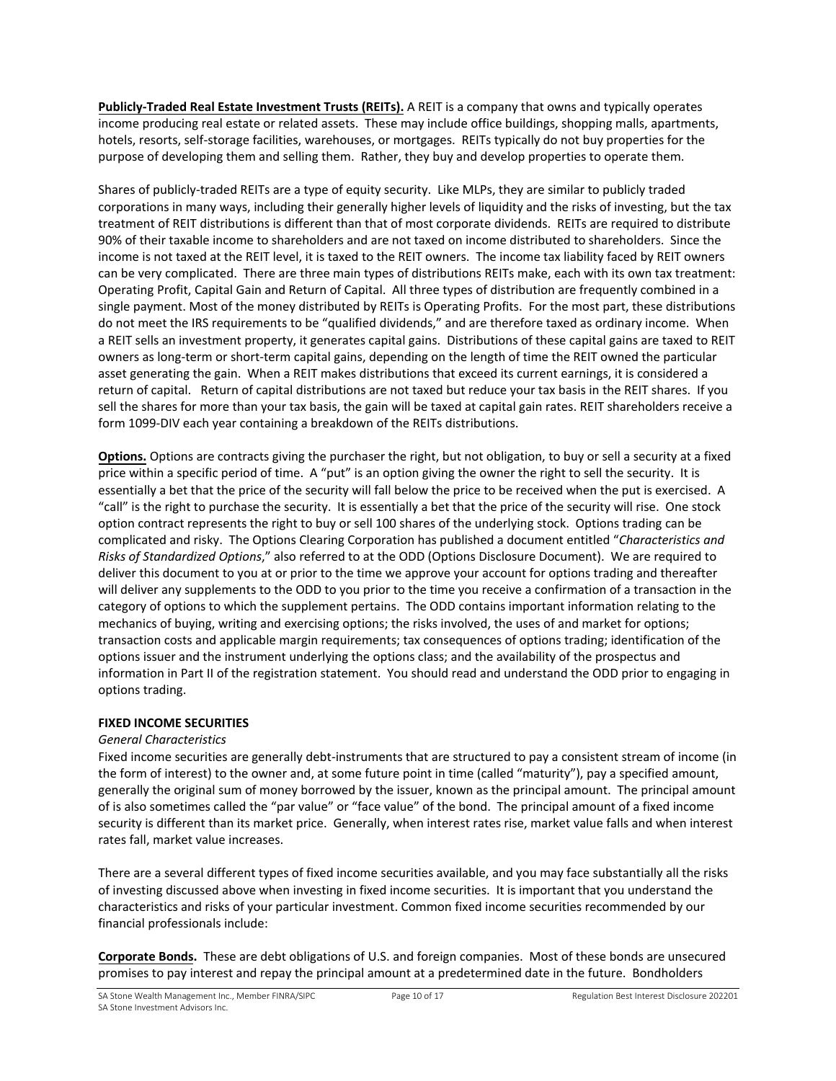**Publicly-Traded Real Estate Investment Trusts (REITs).** A REIT is a company that owns and typically operates income producing real estate or related assets. These may include office buildings, shopping malls, apartments, hotels, resorts, self-storage facilities, warehouses, or mortgages. REITs typically do not buy properties for the purpose of developing them and selling them. Rather, they buy and develop properties to operate them.

Shares of publicly-traded REITs are a type of equity security. Like MLPs, they are similar to publicly traded corporations in many ways, including their generally higher levels of liquidity and the risks of investing, but the tax treatment of REIT distributions is different than that of most corporate dividends. REITs are required to distribute 90% of their taxable income to shareholders and are not taxed on income distributed to shareholders. Since the income is not taxed at the REIT level, it is taxed to the REIT owners. The income tax liability faced by REIT owners can be very complicated. There are three main types of distributions REITs make, each with its own tax treatment: Operating Profit, Capital Gain and Return of Capital. All three types of distribution are frequently combined in a single payment. Most of the money distributed by REITs is Operating Profits. For the most part, these distributions do not meet the IRS requirements to be "qualified dividends," and are therefore taxed as ordinary income. When a REIT sells an investment property, it generates capital gains. Distributions of these capital gains are taxed to REIT owners as long-term or short-term capital gains, depending on the length of time the REIT owned the particular asset generating the gain. When a REIT makes distributions that exceed its current earnings, it is considered a return of capital. Return of capital distributions are not taxed but reduce your tax basis in the REIT shares. If you sell the shares for more than your tax basis, the gain will be taxed at capital gain rates. REIT shareholders receive a form 1099-DIV each year containing a breakdown of the REITs distributions.

**Options.** Options are contracts giving the purchaser the right, but not obligation, to buy or sell a security at a fixed price within a specific period of time. A "put" is an option giving the owner the right to sell the security. It is essentially a bet that the price of the security will fall below the price to be received when the put is exercised. A "call" is the right to purchase the security. It is essentially a bet that the price of the security will rise. One stock option contract represents the right to buy or sell 100 shares of the underlying stock. Options trading can be complicated and risky. The Options Clearing Corporation has published a document entitled "*Characteristics and Risks of Standardized Options*," also referred to at the ODD (Options Disclosure Document). We are required to deliver this document to you at or prior to the time we approve your account for options trading and thereafter will deliver any supplements to the ODD to you prior to the time you receive a confirmation of a transaction in the category of options to which the supplement pertains. The ODD contains important information relating to the mechanics of buying, writing and exercising options; the risks involved, the uses of and market for options; transaction costs and applicable margin requirements; tax consequences of options trading; identification of the options issuer and the instrument underlying the options class; and the availability of the prospectus and information in Part II of the registration statement. You should read and understand the ODD prior to engaging in options trading.

# **FIXED INCOME SECURITIES**

#### *General Characteristics*

Fixed income securities are generally debt-instruments that are structured to pay a consistent stream of income (in the form of interest) to the owner and, at some future point in time (called "maturity"), pay a specified amount, generally the original sum of money borrowed by the issuer, known as the principal amount. The principal amount of is also sometimes called the "par value" or "face value" of the bond. The principal amount of a fixed income security is different than its market price. Generally, when interest rates rise, market value falls and when interest rates fall, market value increases.

There are a several different types of fixed income securities available, and you may face substantially all the risks of investing discussed above when investing in fixed income securities. It is important that you understand the characteristics and risks of your particular investment. Common fixed income securities recommended by our financial professionals include:

**Corporate Bonds.** These are debt obligations of U.S. and foreign companies. Most of these bonds are unsecured promises to pay interest and repay the principal amount at a predetermined date in the future. Bondholders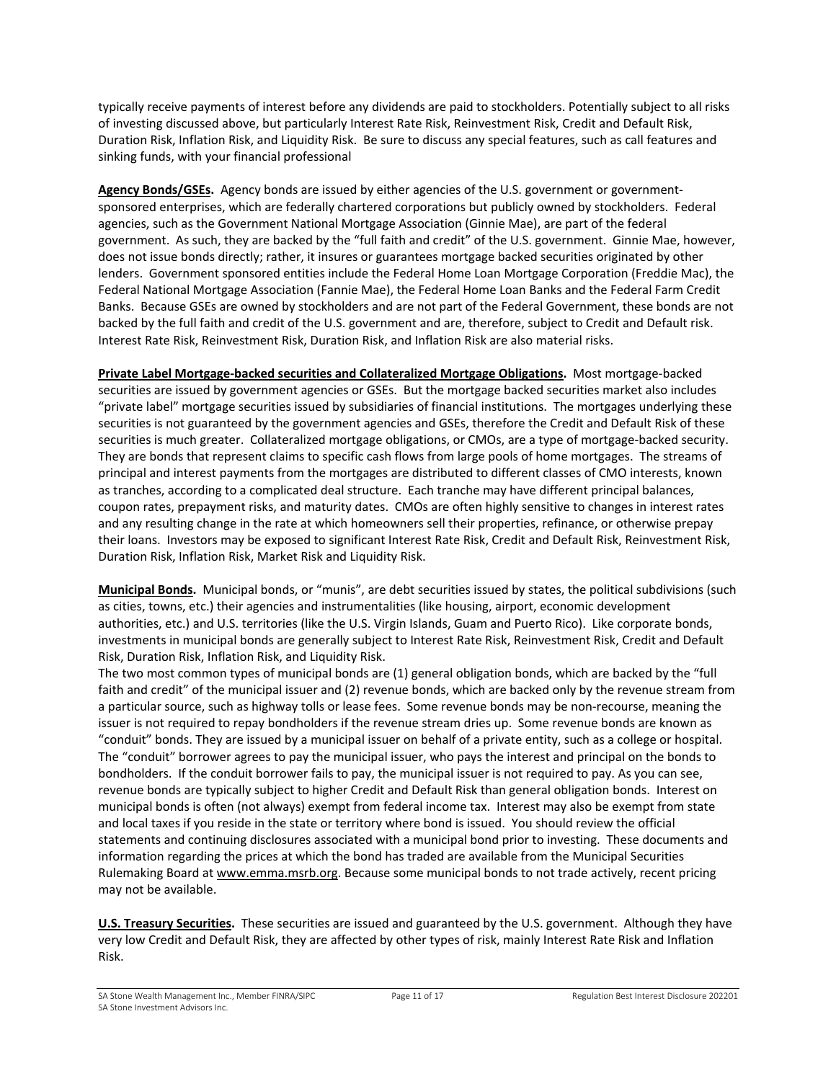typically receive payments of interest before any dividends are paid to stockholders. Potentially subject to all risks of investing discussed above, but particularly Interest Rate Risk, Reinvestment Risk, Credit and Default Risk, Duration Risk, Inflation Risk, and Liquidity Risk. Be sure to discuss any special features, such as call features and sinking funds, with your financial professional

**Agency Bonds/GSEs.** Agency bonds are issued by either agencies of the U.S. government or governmentsponsored enterprises, which are federally chartered corporations but publicly owned by stockholders. Federal agencies, such as the Government National Mortgage Association (Ginnie Mae), are part of the federal government. As such, they are backed by the "full faith and credit" of the U.S. government. Ginnie Mae, however, does not issue bonds directly; rather, it insures or guarantees mortgage backed securities originated by other lenders. Government sponsored entities include the Federal Home Loan Mortgage Corporation (Freddie Mac), the Federal National Mortgage Association (Fannie Mae), the Federal Home Loan Banks and the Federal Farm Credit Banks. Because GSEs are owned by stockholders and are not part of the Federal Government, these bonds are not backed by the full faith and credit of the U.S. government and are, therefore, subject to Credit and Default risk. Interest Rate Risk, Reinvestment Risk, Duration Risk, and Inflation Risk are also material risks.

**Private Label Mortgage-backed securities and Collateralized Mortgage Obligations.** Most mortgage-backed securities are issued by government agencies or GSEs. But the mortgage backed securities market also includes "private label" mortgage securities issued by subsidiaries of financial institutions. The mortgages underlying these securities is not guaranteed by the government agencies and GSEs, therefore the Credit and Default Risk of these securities is much greater. Collateralized mortgage obligations, or CMOs, are a type of mortgage-backed security. They are bonds that represent claims to specific cash flows from large pools of home mortgages. The streams of principal and interest payments from the mortgages are distributed to different classes of CMO interests, known as tranches, according to a complicated deal structure. Each tranche may have different principal balances, coupon rates, prepayment risks, and maturity dates. CMOs are often highly sensitive to changes in interest rates and any resulting change in the rate at which homeowners sell their properties, refinance, or otherwise prepay their loans. Investors may be exposed to significant Interest Rate Risk, Credit and Default Risk, Reinvestment Risk, Duration Risk, Inflation Risk, Market Risk and Liquidity Risk.

**Municipal Bonds.** Municipal bonds, or "munis", are debt securities issued by states, the political subdivisions (such as cities, towns, etc.) their agencies and instrumentalities (like housing, airport, economic development authorities, etc.) and U.S. territories (like the U.S. Virgin Islands, Guam and Puerto Rico). Like corporate bonds, investments in municipal bonds are generally subject to Interest Rate Risk, Reinvestment Risk, Credit and Default Risk, Duration Risk, Inflation Risk, and Liquidity Risk.

The two most common types of municipal bonds are (1) general obligation bonds, which are backed by the "full faith and credit" of the municipal issuer and (2) revenue bonds, which are backed only by the revenue stream from a particular source, such as highway tolls or lease fees. Some revenue bonds may be non-recourse, meaning the issuer is not required to repay bondholders if the revenue stream dries up. Some revenue bonds are known as "conduit" bonds. They are issued by a municipal issuer on behalf of a private entity, such as a college or hospital. The "conduit" borrower agrees to pay the municipal issuer, who pays the interest and principal on the bonds to bondholders. If the conduit borrower fails to pay, the municipal issuer is not required to pay. As you can see, revenue bonds are typically subject to higher Credit and Default Risk than general obligation bonds. Interest on municipal bonds is often (not always) exempt from federal income tax. Interest may also be exempt from state and local taxes if you reside in the state or territory where bond is issued. You should review the official statements and continuing disclosures associated with a municipal bond prior to investing. These documents and information regarding the prices at which the bond has traded are available from the Municipal Securities Rulemaking Board a[t www.emma.msrb.org.](http://www.emma.msrb.org/) Because some municipal bonds to not trade actively, recent pricing may not be available.

**U.S. Treasury Securities.** These securities are issued and guaranteed by the U.S. government. Although they have very low Credit and Default Risk, they are affected by other types of risk, mainly Interest Rate Risk and Inflation Risk.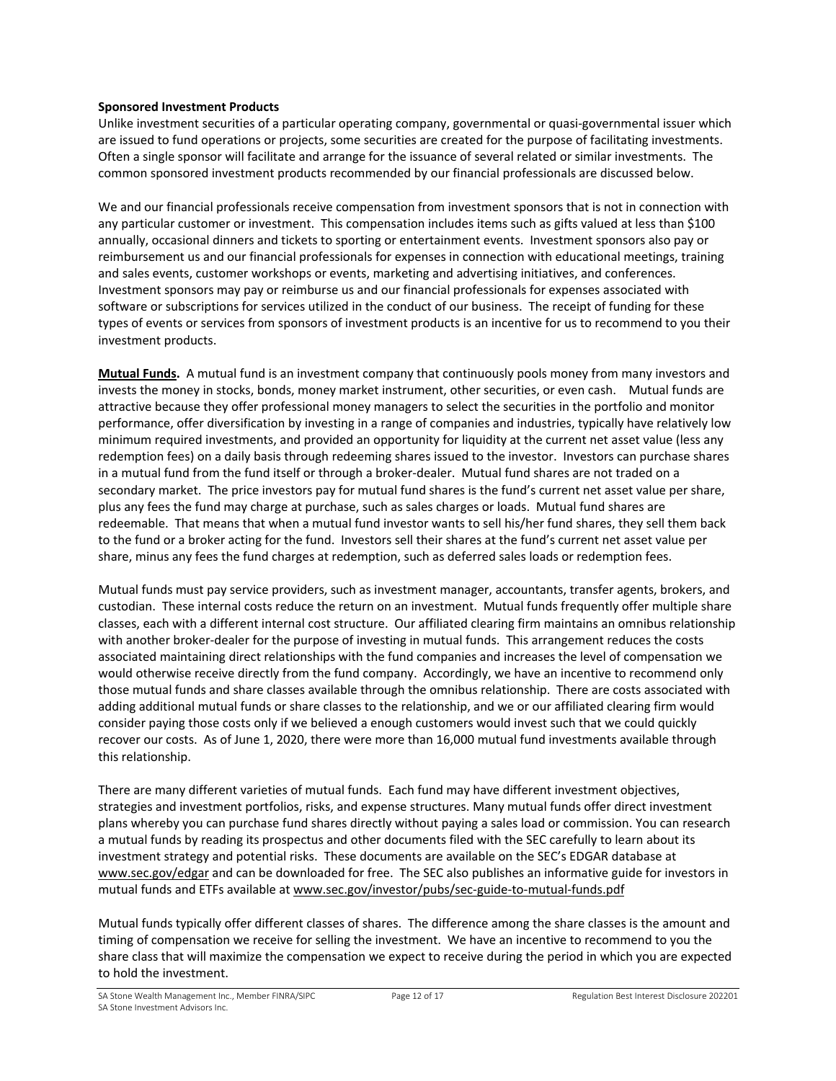#### **Sponsored Investment Products**

Unlike investment securities of a particular operating company, governmental or quasi-governmental issuer which are issued to fund operations or projects, some securities are created for the purpose of facilitating investments. Often a single sponsor will facilitate and arrange for the issuance of several related or similar investments. The common sponsored investment products recommended by our financial professionals are discussed below.

We and our financial professionals receive compensation from investment sponsors that is not in connection with any particular customer or investment. This compensation includes items such as gifts valued at less than \$100 annually, occasional dinners and tickets to sporting or entertainment events. Investment sponsors also pay or reimbursement us and our financial professionals for expenses in connection with educational meetings, training and sales events, customer workshops or events, marketing and advertising initiatives, and conferences. Investment sponsors may pay or reimburse us and our financial professionals for expenses associated with software or subscriptions for services utilized in the conduct of our business. The receipt of funding for these types of events or services from sponsors of investment products is an incentive for us to recommend to you their investment products.

**Mutual Funds.** A mutual fund is an investment company that continuously pools money from many investors and invests the money in stocks, bonds, money market instrument, other securities, or even cash. Mutual funds are attractive because they offer professional money managers to select the securities in the portfolio and monitor performance, offer diversification by investing in a range of companies and industries, typically have relatively low minimum required investments, and provided an opportunity for liquidity at the current net asset value (less any redemption fees) on a daily basis through redeeming shares issued to the investor. Investors can purchase shares in a mutual fund from the fund itself or through a broker-dealer. Mutual fund shares are not traded on a secondary market. The price investors pay for mutual fund shares is the fund's current net asset value per share, plus any fees the fund may charge at purchase, such as sales charges or loads. Mutual fund shares are redeemable. That means that when a mutual fund investor wants to sell his/her fund shares, they sell them back to the fund or a broker acting for the fund. Investors sell their shares at the fund's current net asset value per share, minus any fees the fund charges at redemption, such as deferred sales loads or redemption fees.

Mutual funds must pay service providers, such as investment manager, accountants, transfer agents, brokers, and custodian. These internal costs reduce the return on an investment. Mutual funds frequently offer multiple share classes, each with a different internal cost structure. Our affiliated clearing firm maintains an omnibus relationship with another broker-dealer for the purpose of investing in mutual funds. This arrangement reduces the costs associated maintaining direct relationships with the fund companies and increases the level of compensation we would otherwise receive directly from the fund company. Accordingly, we have an incentive to recommend only those mutual funds and share classes available through the omnibus relationship. There are costs associated with adding additional mutual funds or share classes to the relationship, and we or our affiliated clearing firm would consider paying those costs only if we believed a enough customers would invest such that we could quickly recover our costs. As of June 1, 2020, there were more than 16,000 mutual fund investments available through this relationship.

There are many different varieties of mutual funds. Each fund may have different investment objectives, strategies and investment portfolios, risks, and expense structures. Many mutual funds offer direct investment plans whereby you can purchase fund shares directly without paying a sales load or commission. You can research a mutual funds by reading its prospectus and other documents filed with the SEC carefully to learn about its investment strategy and potential risks. These documents are available on the SEC's EDGAR database at [www.sec.gov/edgar](http://www.sec.gov/edgar) and can be downloaded for free. The SEC also publishes an informative guide for investors in mutual funds and ETFs available at [www.sec.gov/investor/pubs/sec-guide-to-mutual-funds.pdf](http://www.sec.gov/investor/pubs/sec-guide-to-mutual-funds.pdf)

Mutual funds typically offer different classes of shares. The difference among the share classes is the amount and timing of compensation we receive for selling the investment. We have an incentive to recommend to you the share class that will maximize the compensation we expect to receive during the period in which you are expected to hold the investment.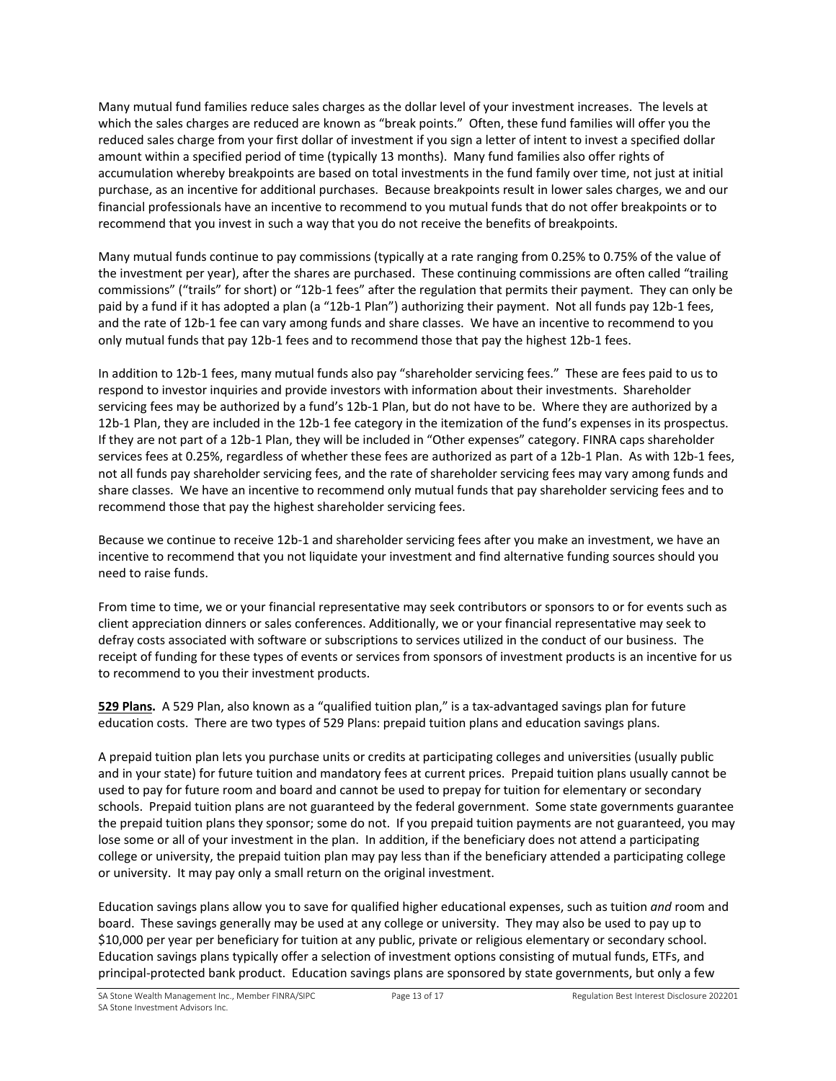Many mutual fund families reduce sales charges as the dollar level of your investment increases. The levels at which the sales charges are reduced are known as "break points." Often, these fund families will offer you the reduced sales charge from your first dollar of investment if you sign a letter of intent to invest a specified dollar amount within a specified period of time (typically 13 months). Many fund families also offer rights of accumulation whereby breakpoints are based on total investments in the fund family over time, not just at initial purchase, as an incentive for additional purchases. Because breakpoints result in lower sales charges, we and our financial professionals have an incentive to recommend to you mutual funds that do not offer breakpoints or to recommend that you invest in such a way that you do not receive the benefits of breakpoints.

Many mutual funds continue to pay commissions (typically at a rate ranging from 0.25% to 0.75% of the value of the investment per year), after the shares are purchased. These continuing commissions are often called "trailing commissions" ("trails" for short) or "12b-1 fees" after the regulation that permits their payment. They can only be paid by a fund if it has adopted a plan (a "12b-1 Plan") authorizing their payment. Not all funds pay 12b-1 fees, and the rate of 12b-1 fee can vary among funds and share classes. We have an incentive to recommend to you only mutual funds that pay 12b-1 fees and to recommend those that pay the highest 12b-1 fees.

In addition to 12b-1 fees, many mutual funds also pay "shareholder servicing fees." These are fees paid to us to respond to investor inquiries and provide investors with information about their investments. Shareholder servicing fees may be authorized by a fund's 12b-1 Plan, but do not have to be. Where they are authorized by a 12b-1 Plan, they are included in the 12b-1 fee category in the itemization of the fund's expenses in its prospectus. If they are not part of a 12b-1 Plan, they will be included in "Other expenses" category. FINRA caps shareholder services fees at 0.25%, regardless of whether these fees are authorized as part of a 12b-1 Plan. As with 12b-1 fees, not all funds pay shareholder servicing fees, and the rate of shareholder servicing fees may vary among funds and share classes. We have an incentive to recommend only mutual funds that pay shareholder servicing fees and to recommend those that pay the highest shareholder servicing fees.

Because we continue to receive 12b-1 and shareholder servicing fees after you make an investment, we have an incentive to recommend that you not liquidate your investment and find alternative funding sources should you need to raise funds.

From time to time, we or your financial representative may seek contributors or sponsors to or for events such as client appreciation dinners or sales conferences. Additionally, we or your financial representative may seek to defray costs associated with software or subscriptions to services utilized in the conduct of our business. The receipt of funding for these types of events or services from sponsors of investment products is an incentive for us to recommend to you their investment products.

**529 Plans.** A 529 Plan, also known as a "qualified tuition plan," is a tax-advantaged savings plan for future education costs. There are two types of 529 Plans: prepaid tuition plans and education savings plans.

A prepaid tuition plan lets you purchase units or credits at participating colleges and universities (usually public and in your state) for future tuition and mandatory fees at current prices. Prepaid tuition plans usually cannot be used to pay for future room and board and cannot be used to prepay for tuition for elementary or secondary schools. Prepaid tuition plans are not guaranteed by the federal government. Some state governments guarantee the prepaid tuition plans they sponsor; some do not. If you prepaid tuition payments are not guaranteed, you may lose some or all of your investment in the plan. In addition, if the beneficiary does not attend a participating college or university, the prepaid tuition plan may pay less than if the beneficiary attended a participating college or university. It may pay only a small return on the original investment.

Education savings plans allow you to save for qualified higher educational expenses, such as tuition *and* room and board. These savings generally may be used at any college or university. They may also be used to pay up to \$10,000 per year per beneficiary for tuition at any public, private or religious elementary or secondary school. Education savings plans typically offer a selection of investment options consisting of mutual funds, ETFs, and principal-protected bank product. Education savings plans are sponsored by state governments, but only a few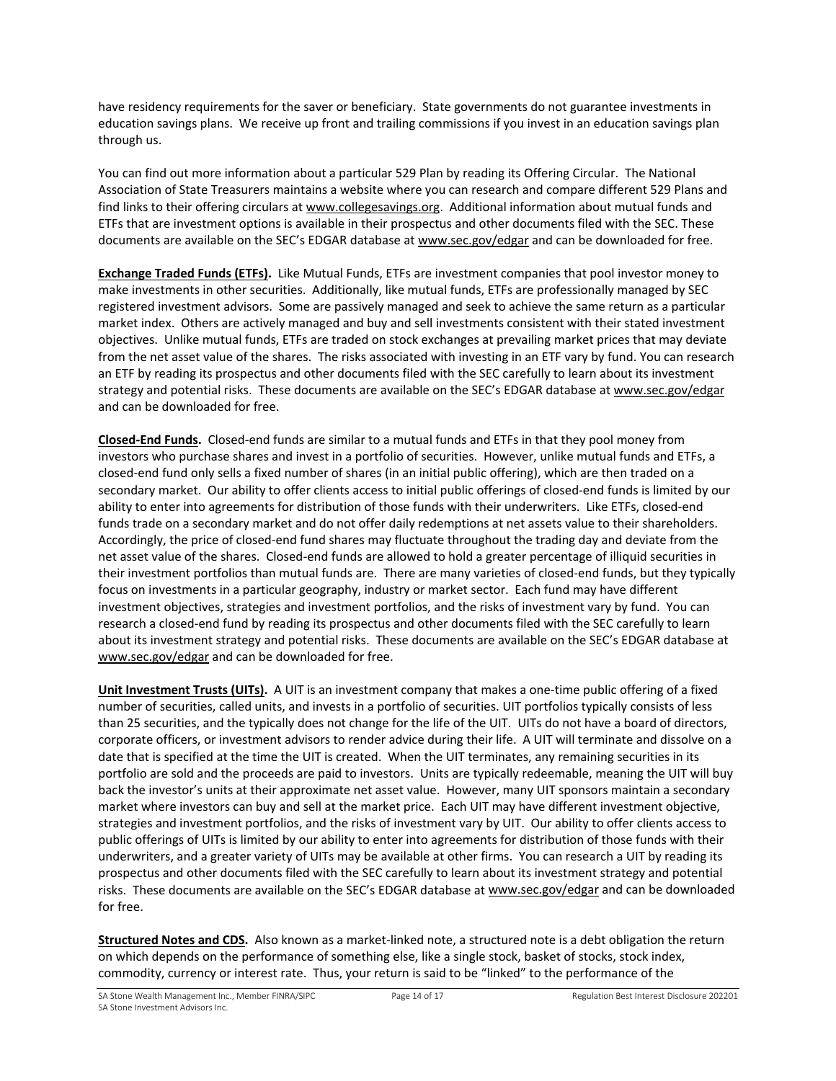have residency requirements for the saver or beneficiary. State governments do not guarantee investments in education savings plans. We receive up front and trailing commissions if you invest in an education savings plan through us.

You can find out more information about a particular 529 Plan by reading its Offering Circular. The National Association of State Treasurers maintains a website where you can research and compare different 529 Plans and find links to their offering circulars at [www.collegesavings.org.](http://www.collegesavings.org/) Additional information about mutual funds and ETFs that are investment options is available in their prospectus and other documents filed with the SEC. These documents are available on the SEC's EDGAR database a[t www.sec.gov/edgar](http://www.sec.gov/edgar) and can be downloaded for free.

**Exchange Traded Funds (ETFs).** Like Mutual Funds, ETFs are investment companies that pool investor money to make investments in other securities. Additionally, like mutual funds, ETFs are professionally managed by SEC registered investment advisors. Some are passively managed and seek to achieve the same return as a particular market index. Others are actively managed and buy and sell investments consistent with their stated investment objectives. Unlike mutual funds, ETFs are traded on stock exchanges at prevailing market prices that may deviate from the net asset value of the shares. The risks associated with investing in an ETF vary by fund. You can research an ETF by reading its prospectus and other documents filed with the SEC carefully to learn about its investment strategy and potential risks. These documents are available on the SEC's EDGAR database a[t www.sec.gov/edgar](http://www.sec.gov/edgar) and can be downloaded for free.

**Closed-End Funds.** Closed-end funds are similar to a mutual funds and ETFs in that they pool money from investors who purchase shares and invest in a portfolio of securities. However, unlike mutual funds and ETFs, a closed-end fund only sells a fixed number of shares (in an initial public offering), which are then traded on a secondary market. Our ability to offer clients access to initial public offerings of closed-end funds is limited by our ability to enter into agreements for distribution of those funds with their underwriters. Like ETFs, closed-end funds trade on a secondary market and do not offer daily redemptions at net assets value to their shareholders. Accordingly, the price of closed-end fund shares may fluctuate throughout the trading day and deviate from the net asset value of the shares. Closed-end funds are allowed to hold a greater percentage of illiquid securities in their investment portfolios than mutual funds are. There are many varieties of closed-end funds, but they typically focus on investments in a particular geography, industry or market sector. Each fund may have different investment objectives, strategies and investment portfolios, and the risks of investment vary by fund. You can research a closed-end fund by reading its prospectus and other documents filed with the SEC carefully to learn about its investment strategy and potential risks. These documents are available on the SEC's EDGAR database at [www.sec.gov/edgar](http://www.sec.gov/edgar) and can be downloaded for free.

**Unit Investment Trusts (UITs).** A UIT is an investment company that makes a one-time public offering of a fixed number of securities, called units, and invests in a portfolio of securities. UIT portfolios typically consists of less than 25 securities, and the typically does not change for the life of the UIT. UITs do not have a board of directors, corporate officers, or investment advisors to render advice during their life. A UIT will terminate and dissolve on a date that is specified at the time the UIT is created. When the UIT terminates, any remaining securities in its portfolio are sold and the proceeds are paid to investors. Units are typically redeemable, meaning the UIT will buy back the investor's units at their approximate net asset value. However, many UIT sponsors maintain a secondary market where investors can buy and sell at the market price. Each UIT may have different investment objective, strategies and investment portfolios, and the risks of investment vary by UIT. Our ability to offer clients access to public offerings of UITs is limited by our ability to enter into agreements for distribution of those funds with their underwriters, and a greater variety of UITs may be available at other firms. You can research a UIT by reading its prospectus and other documents filed with the SEC carefully to learn about its investment strategy and potential risks. These documents are available on the SEC's EDGAR database a[t www.sec.gov/edgar](http://www.sec.gov/edgar) and can be downloaded for free.

**Structured Notes and CDS.** Also known as a market-linked note, a structured note is a debt obligation the return on which depends on the performance of something else, like a single stock, basket of stocks, stock index, commodity, currency or interest rate. Thus, your return is said to be "linked" to the performance of the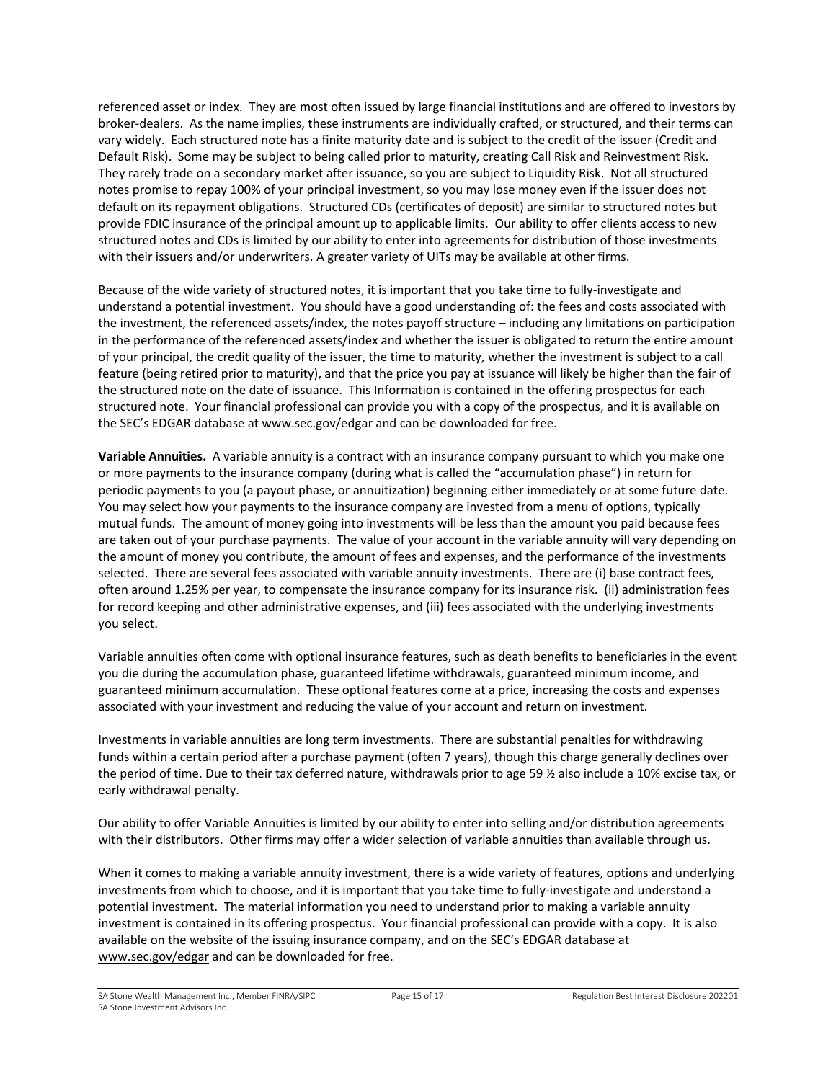referenced asset or index. They are most often issued by large financial institutions and are offered to investors by broker-dealers. As the name implies, these instruments are individually crafted, or structured, and their terms can vary widely. Each structured note has a finite maturity date and is subject to the credit of the issuer (Credit and Default Risk). Some may be subject to being called prior to maturity, creating Call Risk and Reinvestment Risk. They rarely trade on a secondary market after issuance, so you are subject to Liquidity Risk. Not all structured notes promise to repay 100% of your principal investment, so you may lose money even if the issuer does not default on its repayment obligations. Structured CDs (certificates of deposit) are similar to structured notes but provide FDIC insurance of the principal amount up to applicable limits. Our ability to offer clients access to new structured notes and CDs is limited by our ability to enter into agreements for distribution of those investments with their issuers and/or underwriters. A greater variety of UITs may be available at other firms.

Because of the wide variety of structured notes, it is important that you take time to fully-investigate and understand a potential investment. You should have a good understanding of: the fees and costs associated with the investment, the referenced assets/index, the notes payoff structure – including any limitations on participation in the performance of the referenced assets/index and whether the issuer is obligated to return the entire amount of your principal, the credit quality of the issuer, the time to maturity, whether the investment is subject to a call feature (being retired prior to maturity), and that the price you pay at issuance will likely be higher than the fair of the structured note on the date of issuance. This Information is contained in the offering prospectus for each structured note. Your financial professional can provide you with a copy of the prospectus, and it is available on the SEC's EDGAR database at [www.sec.gov/edgar](http://www.sec.gov/edgar) and can be downloaded for free.

**Variable Annuities.** A variable annuity is a contract with an insurance company pursuant to which you make one or more payments to the insurance company (during what is called the "accumulation phase") in return for periodic payments to you (a payout phase, or annuitization) beginning either immediately or at some future date. You may select how your payments to the insurance company are invested from a menu of options, typically mutual funds. The amount of money going into investments will be less than the amount you paid because fees are taken out of your purchase payments. The value of your account in the variable annuity will vary depending on the amount of money you contribute, the amount of fees and expenses, and the performance of the investments selected. There are several fees associated with variable annuity investments. There are (i) base contract fees, often around 1.25% per year, to compensate the insurance company for its insurance risk. (ii) administration fees for record keeping and other administrative expenses, and (iii) fees associated with the underlying investments you select.

Variable annuities often come with optional insurance features, such as death benefits to beneficiaries in the event you die during the accumulation phase, guaranteed lifetime withdrawals, guaranteed minimum income, and guaranteed minimum accumulation. These optional features come at a price, increasing the costs and expenses associated with your investment and reducing the value of your account and return on investment.

Investments in variable annuities are long term investments. There are substantial penalties for withdrawing funds within a certain period after a purchase payment (often 7 years), though this charge generally declines over the period of time. Due to their tax deferred nature, withdrawals prior to age 59 ½ also include a 10% excise tax, or early withdrawal penalty.

Our ability to offer Variable Annuities is limited by our ability to enter into selling and/or distribution agreements with their distributors. Other firms may offer a wider selection of variable annuities than available through us.

When it comes to making a variable annuity investment, there is a wide variety of features, options and underlying investments from which to choose, and it is important that you take time to fully-investigate and understand a potential investment. The material information you need to understand prior to making a variable annuity investment is contained in its offering prospectus. Your financial professional can provide with a copy. It is also available on the website of the issuing insurance company, and on the SEC's EDGAR database at [www.sec.gov/edgar](http://www.sec.gov/edgar) and can be downloaded for free.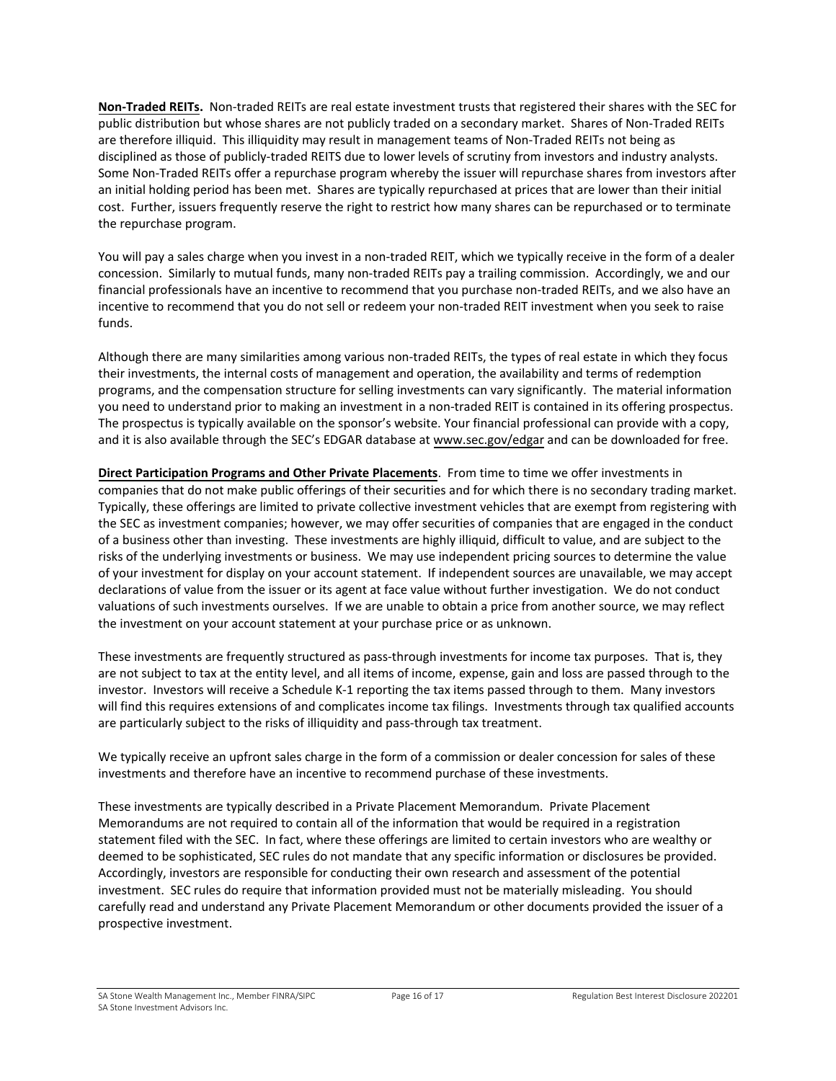**Non-Traded REITs.** Non-traded REITs are real estate investment trusts that registered their shares with the SEC for public distribution but whose shares are not publicly traded on a secondary market. Shares of Non-Traded REITs are therefore illiquid. This illiquidity may result in management teams of Non-Traded REITs not being as disciplined as those of publicly-traded REITS due to lower levels of scrutiny from investors and industry analysts. Some Non-Traded REITs offer a repurchase program whereby the issuer will repurchase shares from investors after an initial holding period has been met. Shares are typically repurchased at prices that are lower than their initial cost. Further, issuers frequently reserve the right to restrict how many shares can be repurchased or to terminate the repurchase program.

You will pay a sales charge when you invest in a non-traded REIT, which we typically receive in the form of a dealer concession. Similarly to mutual funds, many non-traded REITs pay a trailing commission. Accordingly, we and our financial professionals have an incentive to recommend that you purchase non-traded REITs, and we also have an incentive to recommend that you do not sell or redeem your non-traded REIT investment when you seek to raise funds.

Although there are many similarities among various non-traded REITs, the types of real estate in which they focus their investments, the internal costs of management and operation, the availability and terms of redemption programs, and the compensation structure for selling investments can vary significantly. The material information you need to understand prior to making an investment in a non-traded REIT is contained in its offering prospectus. The prospectus is typically available on the sponsor's website. Your financial professional can provide with a copy, and it is also available through the SEC's EDGAR database a[t www.sec.gov/edgar](http://www.sec.gov/edgar) and can be downloaded for free.

**Direct Participation Programs and Other Private Placements**. From time to time we offer investments in companies that do not make public offerings of their securities and for which there is no secondary trading market. Typically, these offerings are limited to private collective investment vehicles that are exempt from registering with the SEC as investment companies; however, we may offer securities of companies that are engaged in the conduct of a business other than investing. These investments are highly illiquid, difficult to value, and are subject to the risks of the underlying investments or business. We may use independent pricing sources to determine the value of your investment for display on your account statement. If independent sources are unavailable, we may accept declarations of value from the issuer or its agent at face value without further investigation. We do not conduct valuations of such investments ourselves. If we are unable to obtain a price from another source, we may reflect the investment on your account statement at your purchase price or as unknown.

These investments are frequently structured as pass-through investments for income tax purposes. That is, they are not subject to tax at the entity level, and all items of income, expense, gain and loss are passed through to the investor. Investors will receive a Schedule K-1 reporting the tax items passed through to them. Many investors will find this requires extensions of and complicates income tax filings. Investments through tax qualified accounts are particularly subject to the risks of illiquidity and pass-through tax treatment.

We typically receive an upfront sales charge in the form of a commission or dealer concession for sales of these investments and therefore have an incentive to recommend purchase of these investments.

These investments are typically described in a Private Placement Memorandum. Private Placement Memorandums are not required to contain all of the information that would be required in a registration statement filed with the SEC. In fact, where these offerings are limited to certain investors who are wealthy or deemed to be sophisticated, SEC rules do not mandate that any specific information or disclosures be provided. Accordingly, investors are responsible for conducting their own research and assessment of the potential investment. SEC rules do require that information provided must not be materially misleading. You should carefully read and understand any Private Placement Memorandum or other documents provided the issuer of a prospective investment.